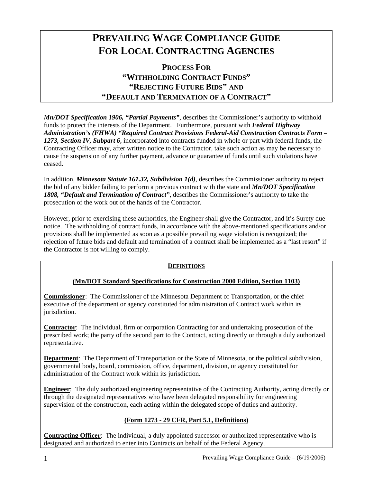# **PREVAILING WAGE COMPLIANCE GUIDE FOR LOCAL CONTRACTING AGENCIES**

**PROCESS FOR "WITHHOLDING CONTRACT FUNDS" "REJECTING FUTURE BIDS" AND "DEFAULT AND TERMINATION OF A CONTRACT"** 

*Mn/DOT Specification 1906, "Partial Payments"*, describes the Commissioner's authority to withhold funds to protect the interests of the Department. Furthermore, pursuant with *Federal Highway Administration's (FHWA) "Required Contract Provisions Federal-Aid Construction Contracts Form – 1273, Section IV, Subpart 6*, incorporated into contracts funded in whole or part with federal funds, the Contracting Officer may, after written notice to the Contractor, take such action as may be necessary to cause the suspension of any further payment, advance or guarantee of funds until such violations have ceased.

In addition, *Minnesota Statute 161.32, Subdivision 1(d)*, describes the Commissioner authority to reject the bid of any bidder failing to perform a previous contract with the state and *Mn/DOT Specification 1808, "Default and Termination of Contract"*, describes the Commissioner's authority to take the prosecution of the work out of the hands of the Contractor.

However, prior to exercising these authorities, the Engineer shall give the Contractor, and it's Surety due notice. The withholding of contract funds, in accordance with the above-mentioned specifications and/or provisions shall be implemented as soon as a possible prevailing wage violation is recognized; the rejection of future bids and default and termination of a contract shall be implemented as a "last resort" if the Contractor is not willing to comply.

### **DEFINITIONS**

### **(Mn/DOT Standard Specifications for Construction 2000 Edition, Section 1103)**

**Commissioner**: The Commissioner of the Minnesota Department of Transportation, or the chief executive of the department or agency constituted for administration of Contract work within its jurisdiction.

**Contractor**: The individual, firm or corporation Contracting for and undertaking prosecution of the prescribed work; the party of the second part to the Contract, acting directly or through a duly authorized representative.

**Department**: The Department of Transportation or the State of Minnesota, or the political subdivision, governmental body, board, commission, office, department, division, or agency constituted for administration of the Contract work within its jurisdiction.

**Engineer**: The duly authorized engineering representative of the Contracting Authority, acting directly or through the designated representatives who have been delegated responsibility for engineering supervision of the construction, each acting within the delegated scope of duties and authority.

## **(Form 1273 - 29 CFR, Part 5.1, Definitions)**

**Contracting Officer**: The individual, a duly appointed successor or authorized representative who is designated and authorized to enter into Contracts on behalf of the Federal Agency.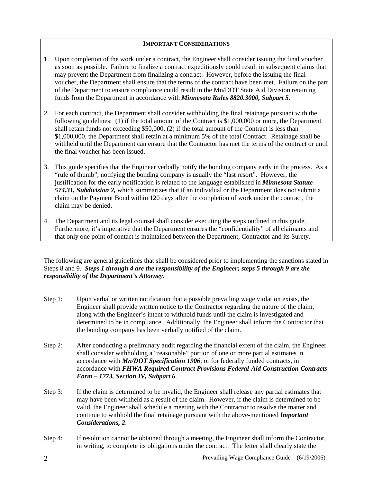#### **IMPORTANT CONSIDERATIONS**

- 1. Upon completion of the work under a contract, the Engineer shall consider issuing the final voucher as soon as possible. Failure to finalize a contract expeditiously could result in subsequent claims that may prevent the Department from finalizing a contract. However, before the issuing the final voucher, the Department shall ensure that the terms of the contract have been met. Failure on the part of the Department to ensure compliance could result in the Mn/DOT State Aid Division retaining funds from the Department in accordance with *Minnesota Rules 8820.3000, Subpart 5*.
- 2. For each contract, the Department shall consider withholding the final retainage pursuant with the following guidelines: (1) if the total amount of the Contract is \$1,000,000 or more, the Department shall retain funds not exceeding \$50,000, (2) if the total amount of the Contract is less than \$1,000,000, the Department shall retain at a minimum 5% of the total Contract. Retainage shall be withheld until the Department can ensure that the Contractor has met the terms of the contract or until the final voucher has been issued.
- 3. This guide specifies that the Engineer verbally notify the bonding company early in the process. As a "rule of thumb", notifying the bonding company is usually the "last resort". However, the justification for the early notification is related to the language established in *Minnesota Statute 574.31, Subdivision 2,* which summarizes that if an individual or the Department does not submit a claim on the Payment Bond within 120 days after the completion of work under the contract, the claim may be denied.
- 4. The Department and its legal counsel shall consider executing the steps outlined in this guide. Furthermore, it's imperative that the Department ensures the "confidentiality" of all claimants and that only one point of contact is maintained between the Department, Contractor and its Surety.

The following are general guidelines that shall be considered prior to implementing the sanctions stated in Steps 8 and 9. *Steps 1 through 4 are the responsibility of the Engineer; steps 5 through 9 are the responsibility of the Department's Attorney*.

- Step 1: Upon verbal or written notification that a possible prevailing wage violation exists, the Engineer shall provide written notice to the Contractor regarding the nature of the claim, along with the Engineer's intent to withhold funds until the claim is investigated and determined to be in compliance. Additionally, the Engineer shall inform the Contractor that the bonding company has been verbally notified of the claim.
- Step 2: After conducting a preliminary audit regarding the financial extent of the claim, the Engineer shall consider withholding a "reasonable" portion of one or more partial estimates in accordance with *Mn/DOT Specification 1906*; or for federally funded contracts, in accordance with *FHWA Required Contract Provisions Federal-Aid Construction Contracts Form – 1273, Section IV, Subpart 6*.
- Step 3: If the claim is determined to be invalid, the Engineer shall release any partial estimates that may have been withheld as a result of the claim. However, if the claim is determined to be valid, the Engineer shall schedule a meeting with the Contractor to resolve the matter and continue to withhold the final retainage pursuant with the above-mentioned *Important Considerations, 2*.
- Step 4: If resolution cannot be obtained through a meeting, the Engineer shall inform the Contractor, in writing, to complete its obligations under the contract. The letter shall clearly state the